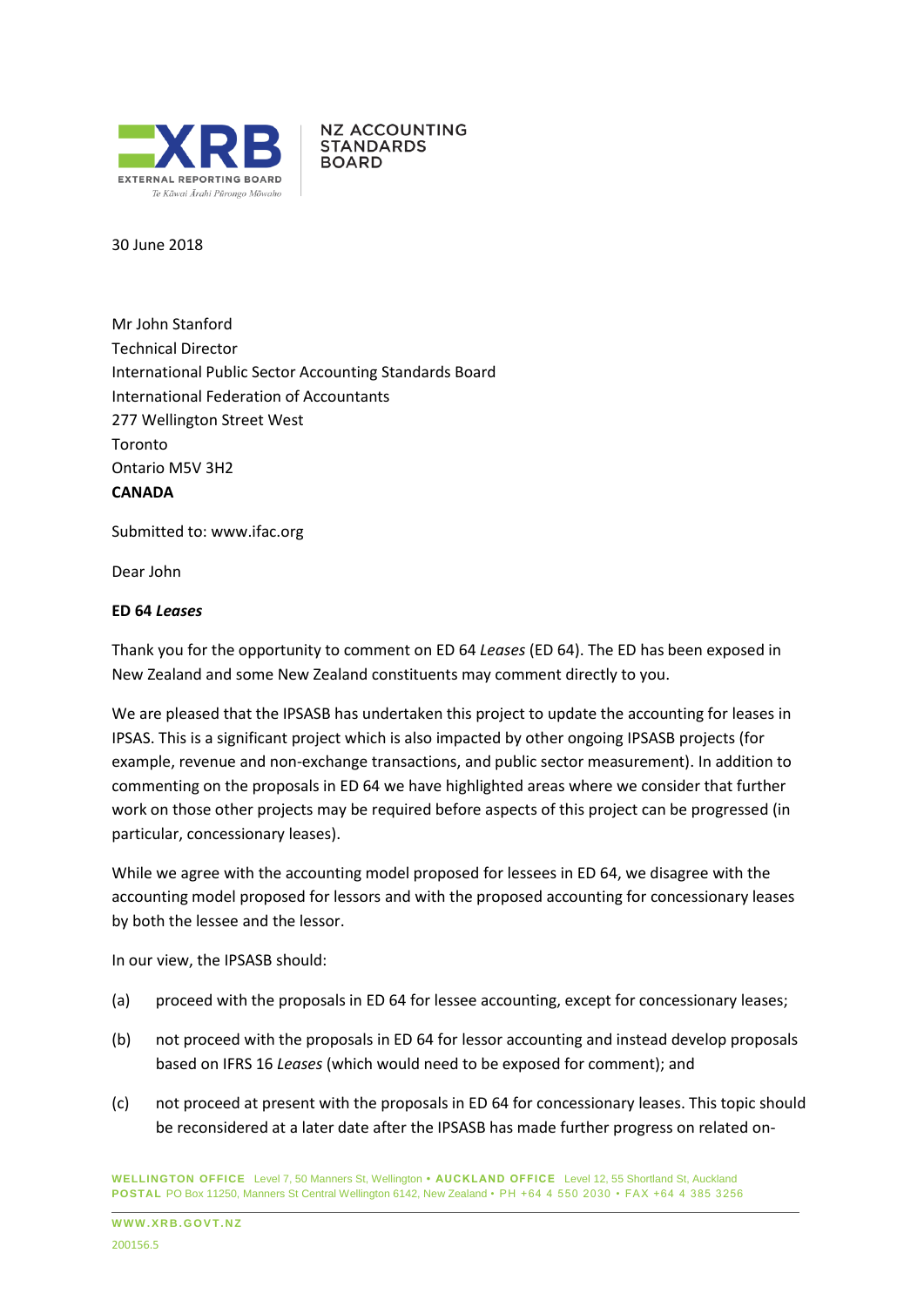

**NZ ACCOUNTING STANDARDS BOARD** 

30 June 2018

Mr John Stanford Technical Director International Public Sector Accounting Standards Board International Federation of Accountants 277 Wellington Street West Toronto Ontario M5V 3H2 **CANADA**

Submitted to: [www.ifac.org](http://www.ifac.org/)

Dear John

#### **ED 64** *Leases*

Thank you for the opportunity to comment on ED 64 *Leases* (ED 64). The ED has been exposed in New Zealand and some New Zealand constituents may comment directly to you.

We are pleased that the IPSASB has undertaken this project to update the accounting for leases in IPSAS. This is a significant project which is also impacted by other ongoing IPSASB projects (for example, revenue and non-exchange transactions, and public sector measurement). In addition to commenting on the proposals in ED 64 we have highlighted areas where we consider that further work on those other projects may be required before aspects of this project can be progressed (in particular, concessionary leases).

While we agree with the accounting model proposed for lessees in ED 64, we disagree with the accounting model proposed for lessors and with the proposed accounting for concessionary leases by both the lessee and the lessor.

In our view, the IPSASB should:

- (a) proceed with the proposals in ED 64 for lessee accounting, except for concessionary leases;
- (b) not proceed with the proposals in ED 64 for lessor accounting and instead develop proposals based on IFRS 16 *Leases* (which would need to be exposed for comment); and
- (c) not proceed at present with the proposals in ED 64 for concessionary leases. This topic should be reconsidered at a later date after the IPSASB has made further progress on related on-

**WELLINGTON OFFICE** Level 7, 50 Manners St, Wellington **• AUCKLAND OFFICE** Level 12, 55 Shortland St, Auckland **POSTAL** PO Box 11250, Manners St Central Wellington 6142, New Zealand • PH +64 4 550 2030 • FAX +64 4 385 3256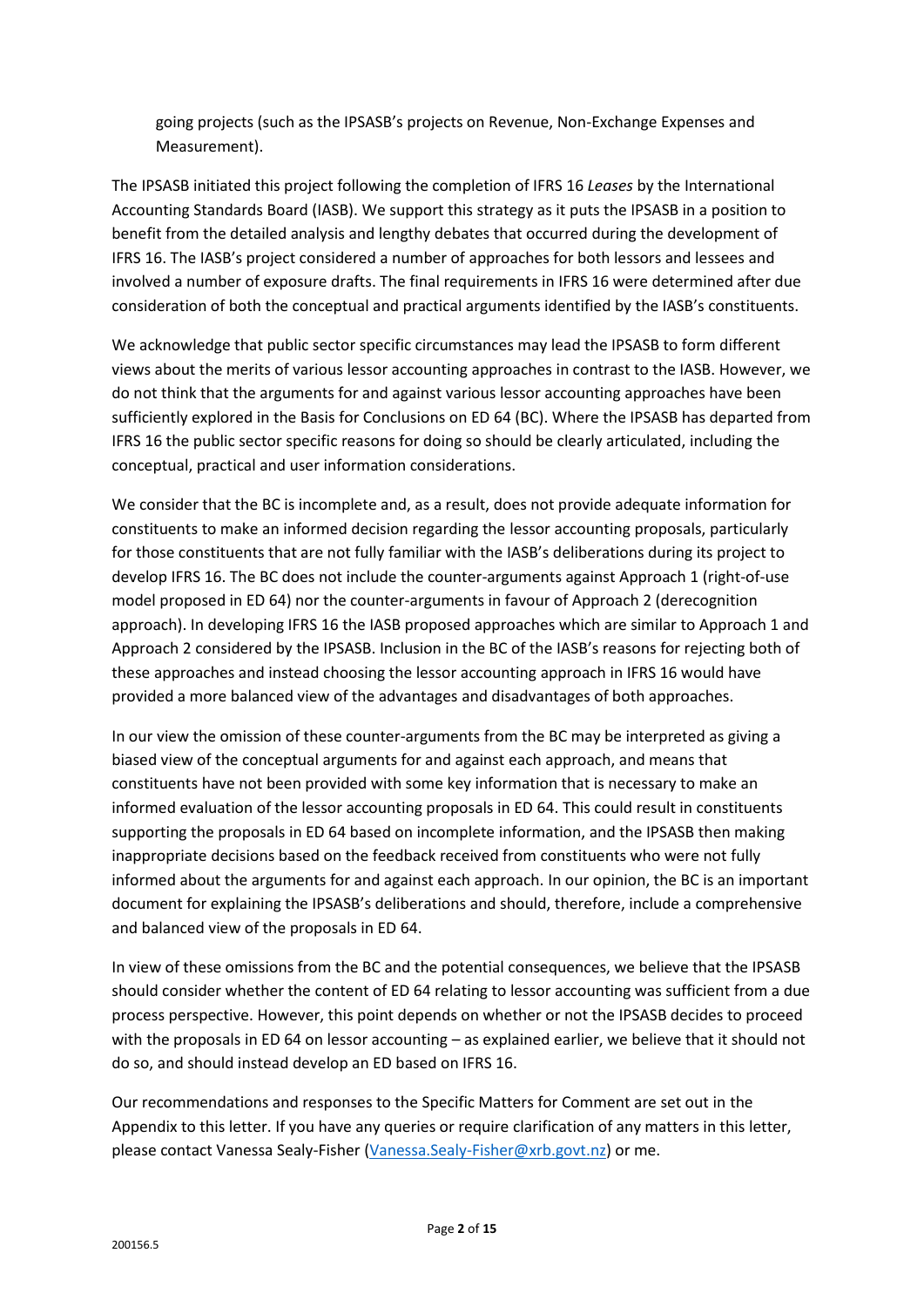going projects (such as the IPSASB's projects on Revenue, Non-Exchange Expenses and Measurement).

The IPSASB initiated this project following the completion of IFRS 16 *Leases* by the International Accounting Standards Board (IASB). We support this strategy as it puts the IPSASB in a position to benefit from the detailed analysis and lengthy debates that occurred during the development of IFRS 16. The IASB's project considered a number of approaches for both lessors and lessees and involved a number of exposure drafts. The final requirements in IFRS 16 were determined after due consideration of both the conceptual and practical arguments identified by the IASB's constituents.

We acknowledge that public sector specific circumstances may lead the IPSASB to form different views about the merits of various lessor accounting approaches in contrast to the IASB. However, we do not think that the arguments for and against various lessor accounting approaches have been sufficiently explored in the Basis for Conclusions on ED 64 (BC). Where the IPSASB has departed from IFRS 16 the public sector specific reasons for doing so should be clearly articulated, including the conceptual, practical and user information considerations.

We consider that the BC is incomplete and, as a result, does not provide adequate information for constituents to make an informed decision regarding the lessor accounting proposals, particularly for those constituents that are not fully familiar with the IASB's deliberations during its project to develop IFRS 16. The BC does not include the counter-arguments against Approach 1 (right-of-use model proposed in ED 64) nor the counter-arguments in favour of Approach 2 (derecognition approach). In developing IFRS 16 the IASB proposed approaches which are similar to Approach 1 and Approach 2 considered by the IPSASB. Inclusion in the BC of the IASB's reasons for rejecting both of these approaches and instead choosing the lessor accounting approach in IFRS 16 would have provided a more balanced view of the advantages and disadvantages of both approaches.

In our view the omission of these counter-arguments from the BC may be interpreted as giving a biased view of the conceptual arguments for and against each approach, and means that constituents have not been provided with some key information that is necessary to make an informed evaluation of the lessor accounting proposals in ED 64. This could result in constituents supporting the proposals in ED 64 based on incomplete information, and the IPSASB then making inappropriate decisions based on the feedback received from constituents who were not fully informed about the arguments for and against each approach. In our opinion, the BC is an important document for explaining the IPSASB's deliberations and should, therefore, include a comprehensive and balanced view of the proposals in ED 64.

In view of these omissions from the BC and the potential consequences, we believe that the IPSASB should consider whether the content of ED 64 relating to lessor accounting was sufficient from a due process perspective. However, this point depends on whether or not the IPSASB decides to proceed with the proposals in ED 64 on lessor accounting – as explained earlier, we believe that it should not do so, and should instead develop an ED based on IFRS 16.

Our recommendations and responses to the Specific Matters for Comment are set out in the Appendix to this letter. If you have any queries or require clarification of any matters in this letter, please contact Vanessa Sealy-Fisher [\(Vanessa.Sealy-Fisher@xrb.govt.nz\)](mailto:Vanessa.Sealy-Fisher@xrb.govt.nz) or me.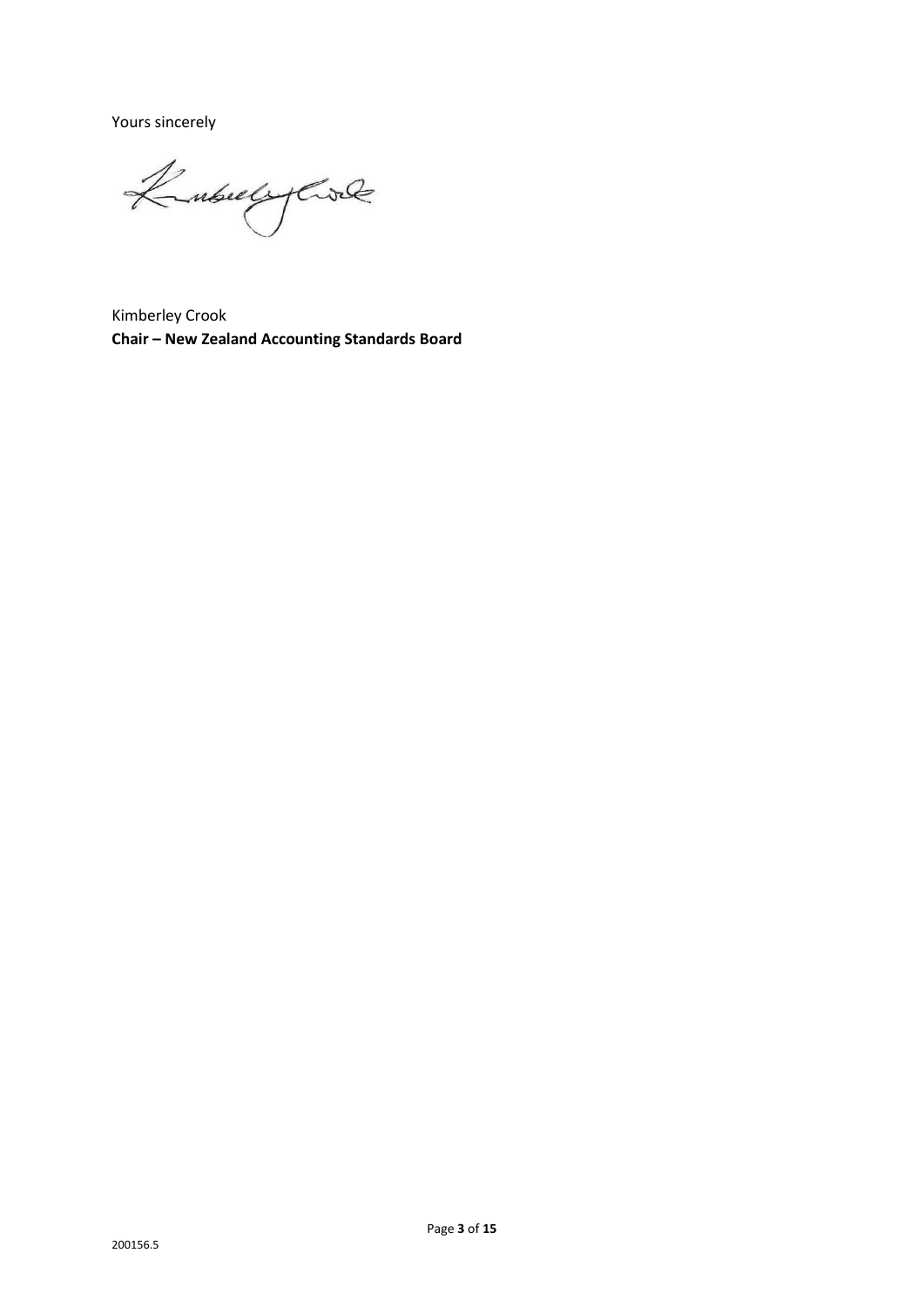Yours sincerely

KubulyCrock

Kimberley Crook **Chair – New Zealand Accounting Standards Board**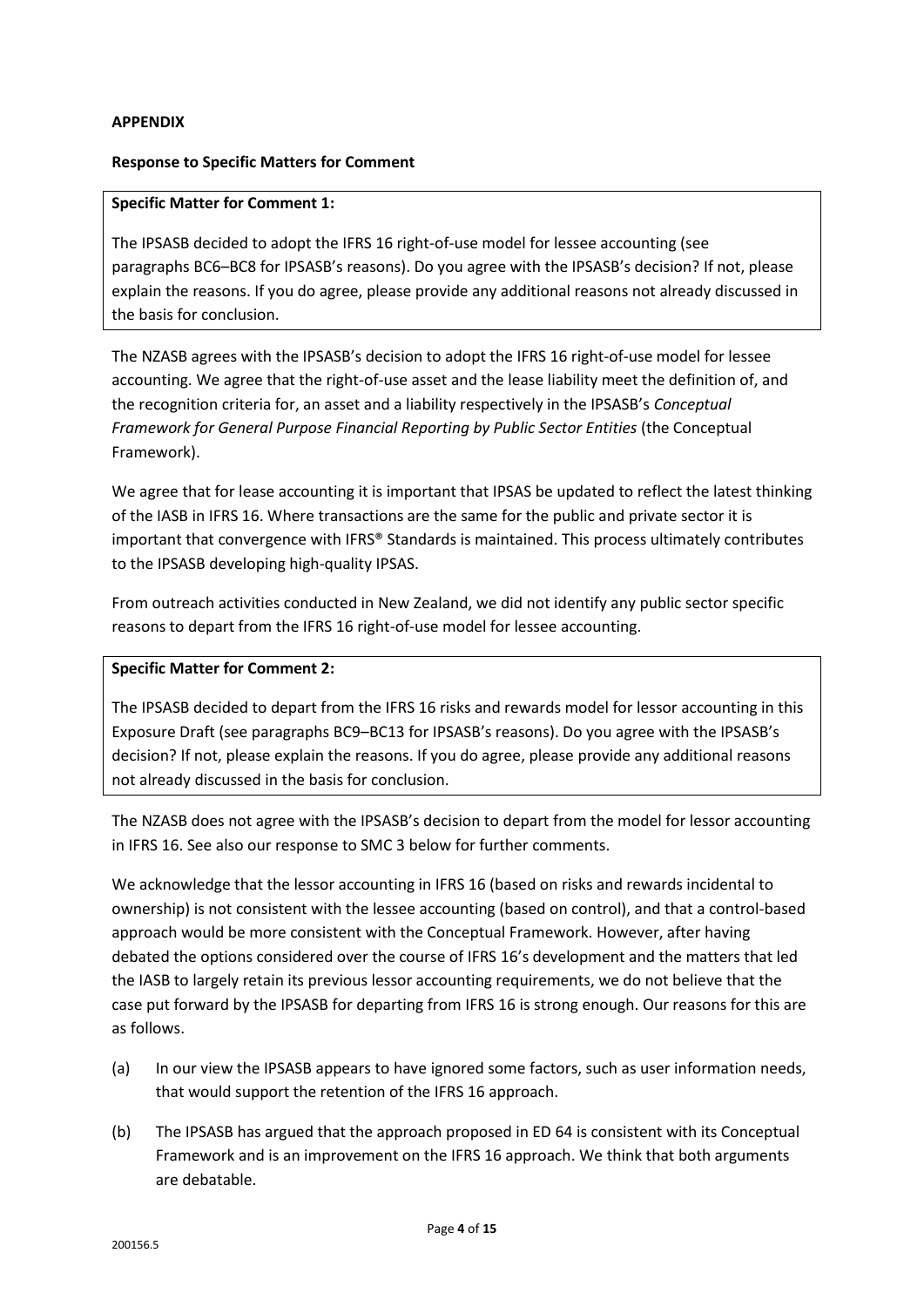### **APPENDIX**

### **Response to Specific Matters for Comment**

### **Specific Matter for Comment 1:**

The IPSASB decided to adopt the IFRS 16 right-of-use model for lessee accounting (see paragraphs BC6–BC8 for IPSASB's reasons). Do you agree with the IPSASB's decision? If not, please explain the reasons. If you do agree, please provide any additional reasons not already discussed in the basis for conclusion.

The NZASB agrees with the IPSASB's decision to adopt the IFRS 16 right-of-use model for lessee accounting. We agree that the right-of-use asset and the lease liability meet the definition of, and the recognition criteria for, an asset and a liability respectively in the IPSASB's *Conceptual Framework for General Purpose Financial Reporting by Public Sector Entities* (the Conceptual Framework).

We agree that for lease accounting it is important that IPSAS be updated to reflect the latest thinking of the IASB in IFRS 16. Where transactions are the same for the public and private sector it is important that convergence with IFRS® Standards is maintained. This process ultimately contributes to the IPSASB developing high-quality IPSAS.

From outreach activities conducted in New Zealand, we did not identify any public sector specific reasons to depart from the IFRS 16 right-of-use model for lessee accounting.

### **Specific Matter for Comment 2:**

The IPSASB decided to depart from the IFRS 16 risks and rewards model for lessor accounting in this Exposure Draft (see paragraphs BC9–BC13 for IPSASB's reasons). Do you agree with the IPSASB's decision? If not, please explain the reasons. If you do agree, please provide any additional reasons not already discussed in the basis for conclusion.

The NZASB does not agree with the IPSASB's decision to depart from the model for lessor accounting in IFRS 16. See also our response to SMC 3 below for further comments.

We acknowledge that the lessor accounting in IFRS 16 (based on risks and rewards incidental to ownership) is not consistent with the lessee accounting (based on control), and that a control-based approach would be more consistent with the Conceptual Framework. However, after having debated the options considered over the course of IFRS 16's development and the matters that led the IASB to largely retain its previous lessor accounting requirements, we do not believe that the case put forward by the IPSASB for departing from IFRS 16 is strong enough. Our reasons for this are as follows.

- (a) In our view the IPSASB appears to have ignored some factors, such as user information needs, that would support the retention of the IFRS 16 approach.
- (b) The IPSASB has argued that the approach proposed in ED 64 is consistent with its Conceptual Framework and is an improvement on the IFRS 16 approach. We think that both arguments are debatable.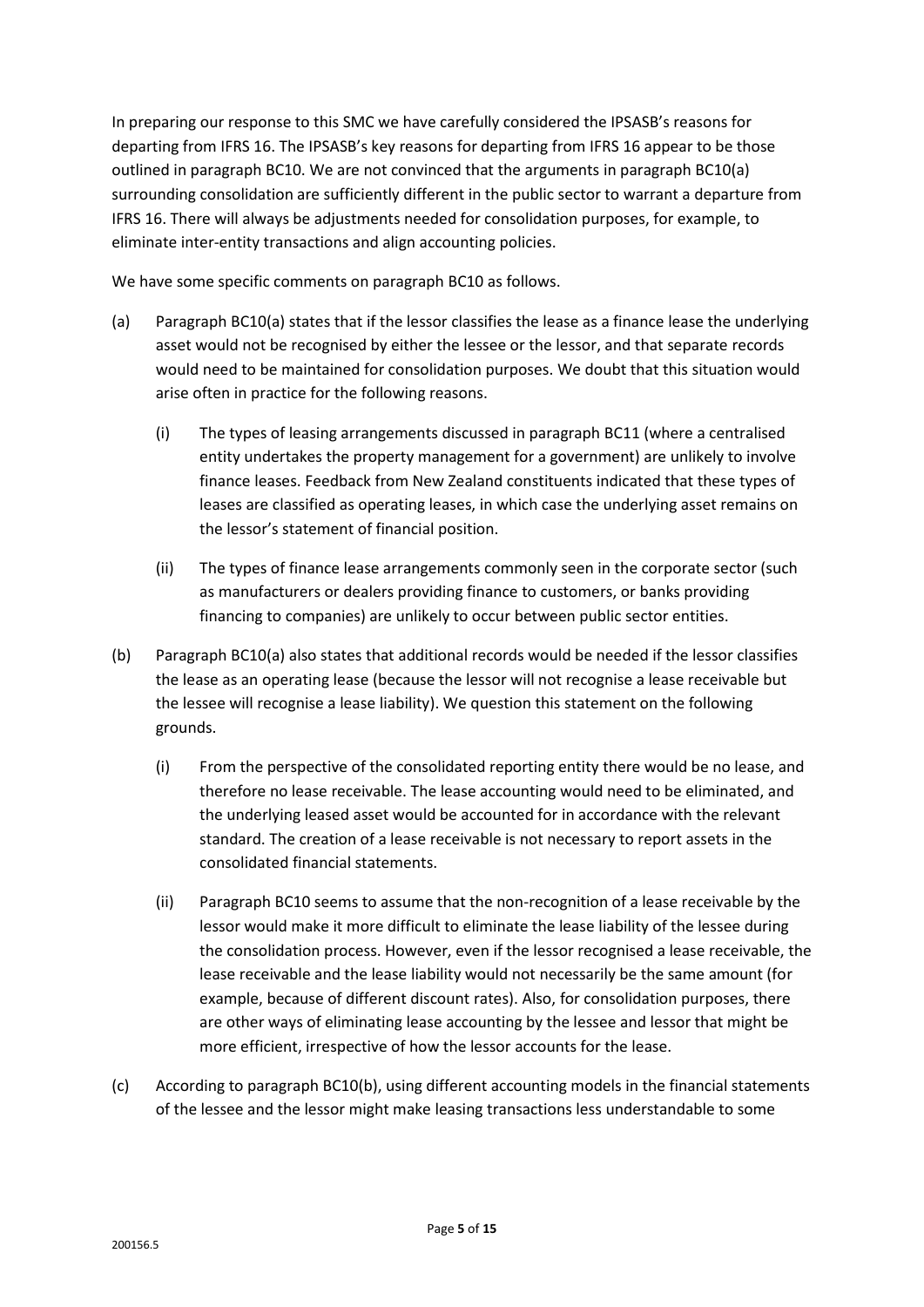In preparing our response to this SMC we have carefully considered the IPSASB's reasons for departing from IFRS 16. The IPSASB's key reasons for departing from IFRS 16 appear to be those outlined in paragraph BC10. We are not convinced that the arguments in paragraph BC10(a) surrounding consolidation are sufficiently different in the public sector to warrant a departure from IFRS 16. There will always be adjustments needed for consolidation purposes, for example, to eliminate inter-entity transactions and align accounting policies.

We have some specific comments on paragraph BC10 as follows.

- (a) Paragraph BC10(a) states that if the lessor classifies the lease as a finance lease the underlying asset would not be recognised by either the lessee or the lessor, and that separate records would need to be maintained for consolidation purposes. We doubt that this situation would arise often in practice for the following reasons.
	- (i) The types of leasing arrangements discussed in paragraph BC11 (where a centralised entity undertakes the property management for a government) are unlikely to involve finance leases. Feedback from New Zealand constituents indicated that these types of leases are classified as operating leases, in which case the underlying asset remains on the lessor's statement of financial position.
	- (ii) The types of finance lease arrangements commonly seen in the corporate sector (such as manufacturers or dealers providing finance to customers, or banks providing financing to companies) are unlikely to occur between public sector entities.
- (b) Paragraph BC10(a) also states that additional records would be needed if the lessor classifies the lease as an operating lease (because the lessor will not recognise a lease receivable but the lessee will recognise a lease liability). We question this statement on the following grounds.
	- (i) From the perspective of the consolidated reporting entity there would be no lease, and therefore no lease receivable. The lease accounting would need to be eliminated, and the underlying leased asset would be accounted for in accordance with the relevant standard. The creation of a lease receivable is not necessary to report assets in the consolidated financial statements.
	- (ii) Paragraph BC10 seems to assume that the non-recognition of a lease receivable by the lessor would make it more difficult to eliminate the lease liability of the lessee during the consolidation process. However, even if the lessor recognised a lease receivable, the lease receivable and the lease liability would not necessarily be the same amount (for example, because of different discount rates). Also, for consolidation purposes, there are other ways of eliminating lease accounting by the lessee and lessor that might be more efficient, irrespective of how the lessor accounts for the lease.
- (c) According to paragraph BC10(b), using different accounting models in the financial statements of the lessee and the lessor might make leasing transactions less understandable to some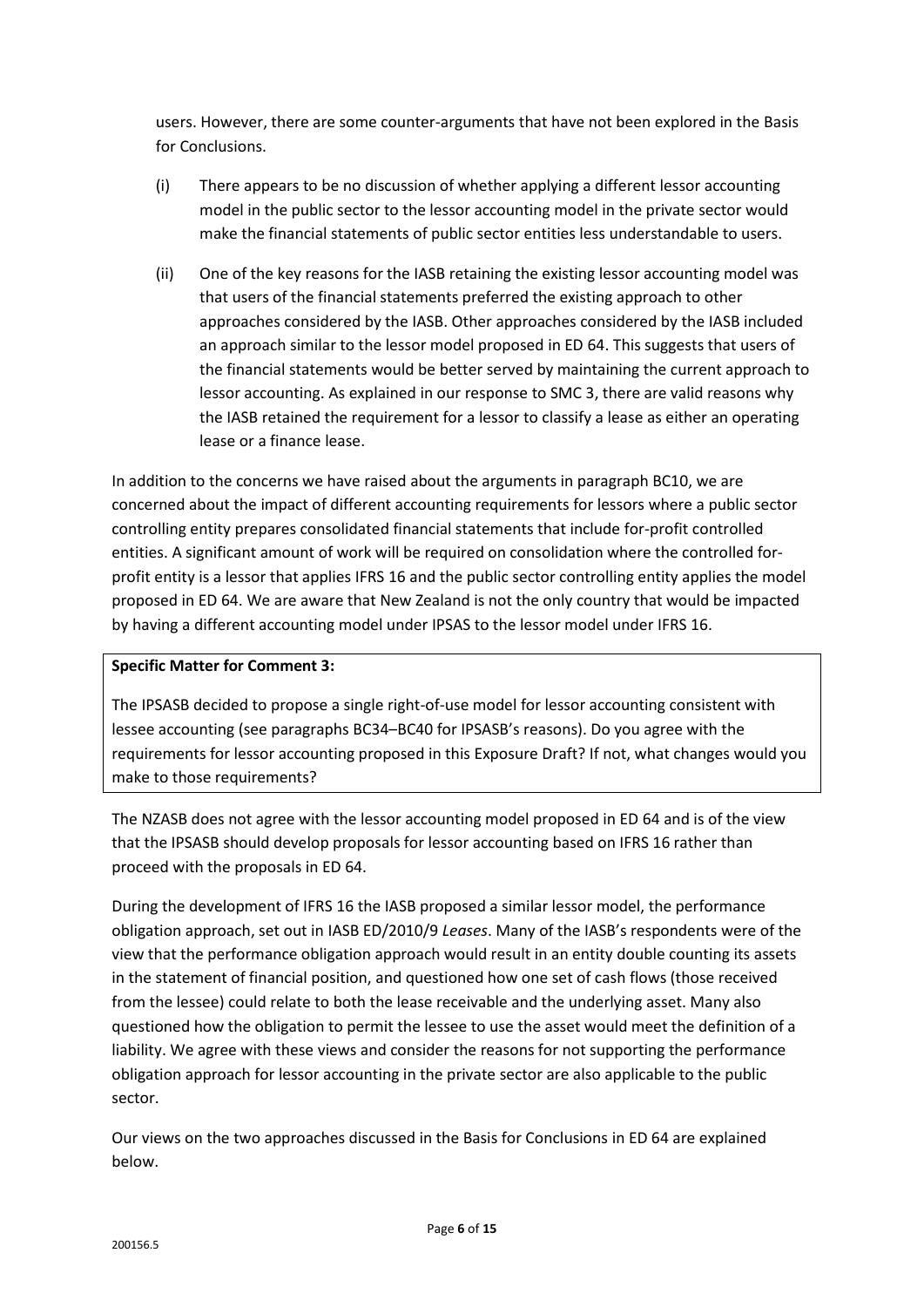users. However, there are some counter-arguments that have not been explored in the Basis for Conclusions.

- (i) There appears to be no discussion of whether applying a different lessor accounting model in the public sector to the lessor accounting model in the private sector would make the financial statements of public sector entities less understandable to users.
- (ii) One of the key reasons for the IASB retaining the existing lessor accounting model was that users of the financial statements preferred the existing approach to other approaches considered by the IASB. Other approaches considered by the IASB included an approach similar to the lessor model proposed in ED 64. This suggests that users of the financial statements would be better served by maintaining the current approach to lessor accounting. As explained in our response to SMC 3, there are valid reasons why the IASB retained the requirement for a lessor to classify a lease as either an operating lease or a finance lease.

In addition to the concerns we have raised about the arguments in paragraph BC10, we are concerned about the impact of different accounting requirements for lessors where a public sector controlling entity prepares consolidated financial statements that include for-profit controlled entities. A significant amount of work will be required on consolidation where the controlled forprofit entity is a lessor that applies IFRS 16 and the public sector controlling entity applies the model proposed in ED 64. We are aware that New Zealand is not the only country that would be impacted by having a different accounting model under IPSAS to the lessor model under IFRS 16.

### **Specific Matter for Comment 3:**

The IPSASB decided to propose a single right-of-use model for lessor accounting consistent with lessee accounting (see paragraphs BC34–BC40 for IPSASB's reasons). Do you agree with the requirements for lessor accounting proposed in this Exposure Draft? If not, what changes would you make to those requirements?

The NZASB does not agree with the lessor accounting model proposed in ED 64 and is of the view that the IPSASB should develop proposals for lessor accounting based on IFRS 16 rather than proceed with the proposals in ED 64.

During the development of IFRS 16 the IASB proposed a similar lessor model, the performance obligation approach, set out in IASB ED/2010/9 *Leases*. Many of the IASB's respondents were of the view that the performance obligation approach would result in an entity double counting its assets in the statement of financial position, and questioned how one set of cash flows (those received from the lessee) could relate to both the lease receivable and the underlying asset. Many also questioned how the obligation to permit the lessee to use the asset would meet the definition of a liability. We agree with these views and consider the reasons for not supporting the performance obligation approach for lessor accounting in the private sector are also applicable to the public sector.

Our views on the two approaches discussed in the Basis for Conclusions in ED 64 are explained below.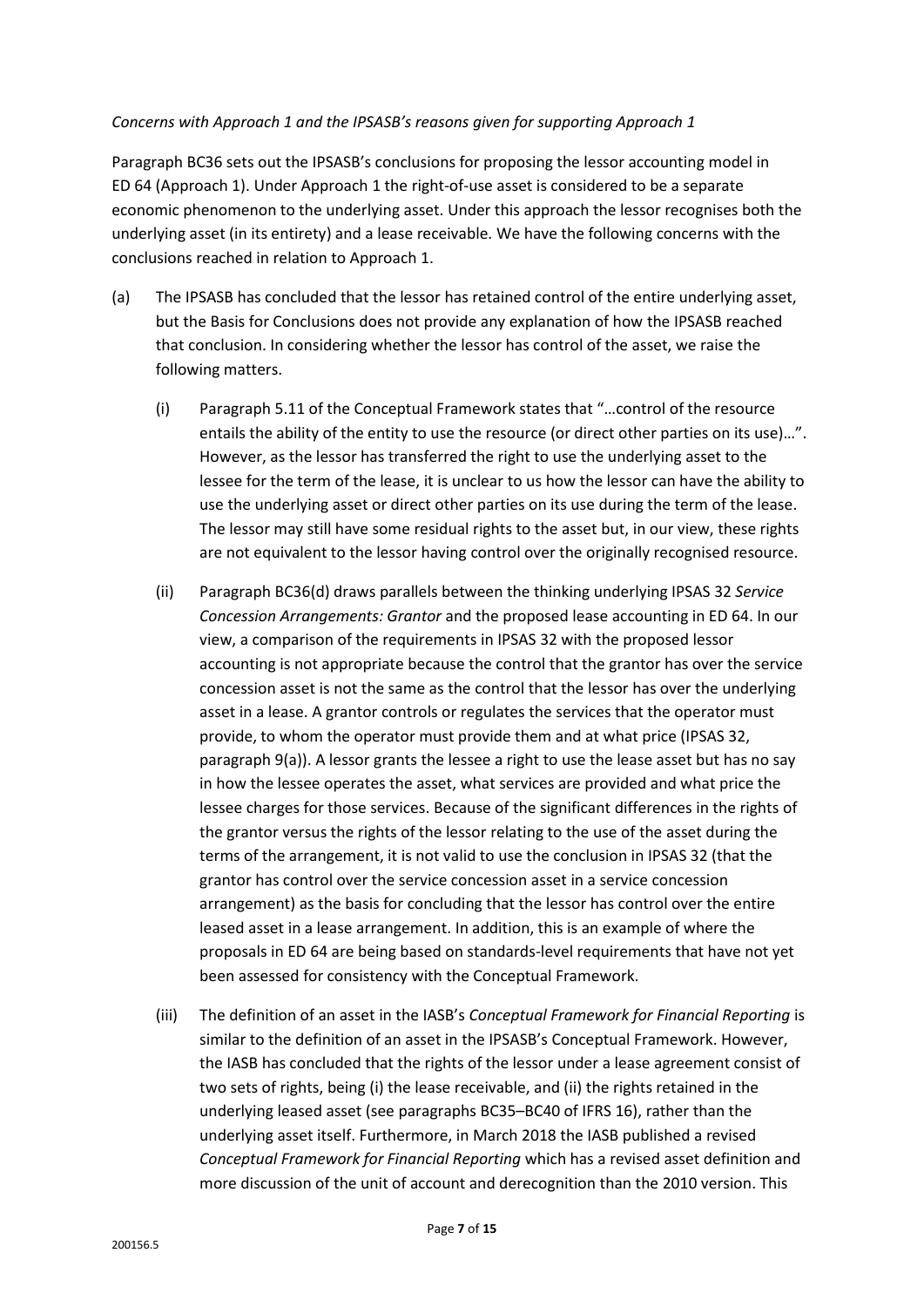### *Concerns with Approach 1 and the IPSASB's reasons given for supporting Approach 1*

Paragraph BC36 sets out the IPSASB's conclusions for proposing the lessor accounting model in ED 64 (Approach 1). Under Approach 1 the right-of-use asset is considered to be a separate economic phenomenon to the underlying asset. Under this approach the lessor recognises both the underlying asset (in its entirety) and a lease receivable. We have the following concerns with the conclusions reached in relation to Approach 1.

- (a) The IPSASB has concluded that the lessor has retained control of the entire underlying asset, but the Basis for Conclusions does not provide any explanation of how the IPSASB reached that conclusion. In considering whether the lessor has control of the asset, we raise the following matters.
	- (i) Paragraph 5.11 of the Conceptual Framework states that "…control of the resource entails the ability of the entity to use the resource (or direct other parties on its use)…". However, as the lessor has transferred the right to use the underlying asset to the lessee for the term of the lease, it is unclear to us how the lessor can have the ability to use the underlying asset or direct other parties on its use during the term of the lease. The lessor may still have some residual rights to the asset but, in our view, these rights are not equivalent to the lessor having control over the originally recognised resource.
	- (ii) Paragraph BC36(d) draws parallels between the thinking underlying IPSAS 32 *Service Concession Arrangements: Grantor* and the proposed lease accounting in ED 64. In our view, a comparison of the requirements in IPSAS 32 with the proposed lessor accounting is not appropriate because the control that the grantor has over the service concession asset is not the same as the control that the lessor has over the underlying asset in a lease. A grantor controls or regulates the services that the operator must provide, to whom the operator must provide them and at what price (IPSAS 32, paragraph 9(a)). A lessor grants the lessee a right to use the lease asset but has no say in how the lessee operates the asset, what services are provided and what price the lessee charges for those services. Because of the significant differences in the rights of the grantor versus the rights of the lessor relating to the use of the asset during the terms of the arrangement, it is not valid to use the conclusion in IPSAS 32 (that the grantor has control over the service concession asset in a service concession arrangement) as the basis for concluding that the lessor has control over the entire leased asset in a lease arrangement. In addition, this is an example of where the proposals in ED 64 are being based on standards-level requirements that have not yet been assessed for consistency with the Conceptual Framework.
	- (iii) The definition of an asset in the IASB's *Conceptual Framework for Financial Reporting* is similar to the definition of an asset in the IPSASB's Conceptual Framework. However, the IASB has concluded that the rights of the lessor under a lease agreement consist of two sets of rights, being (i) the lease receivable, and (ii) the rights retained in the underlying leased asset (see paragraphs BC35–BC40 of IFRS 16), rather than the underlying asset itself. Furthermore, in March 2018 the IASB published a revised *Conceptual Framework for Financial Reporting* which has a revised asset definition and more discussion of the unit of account and derecognition than the 2010 version. This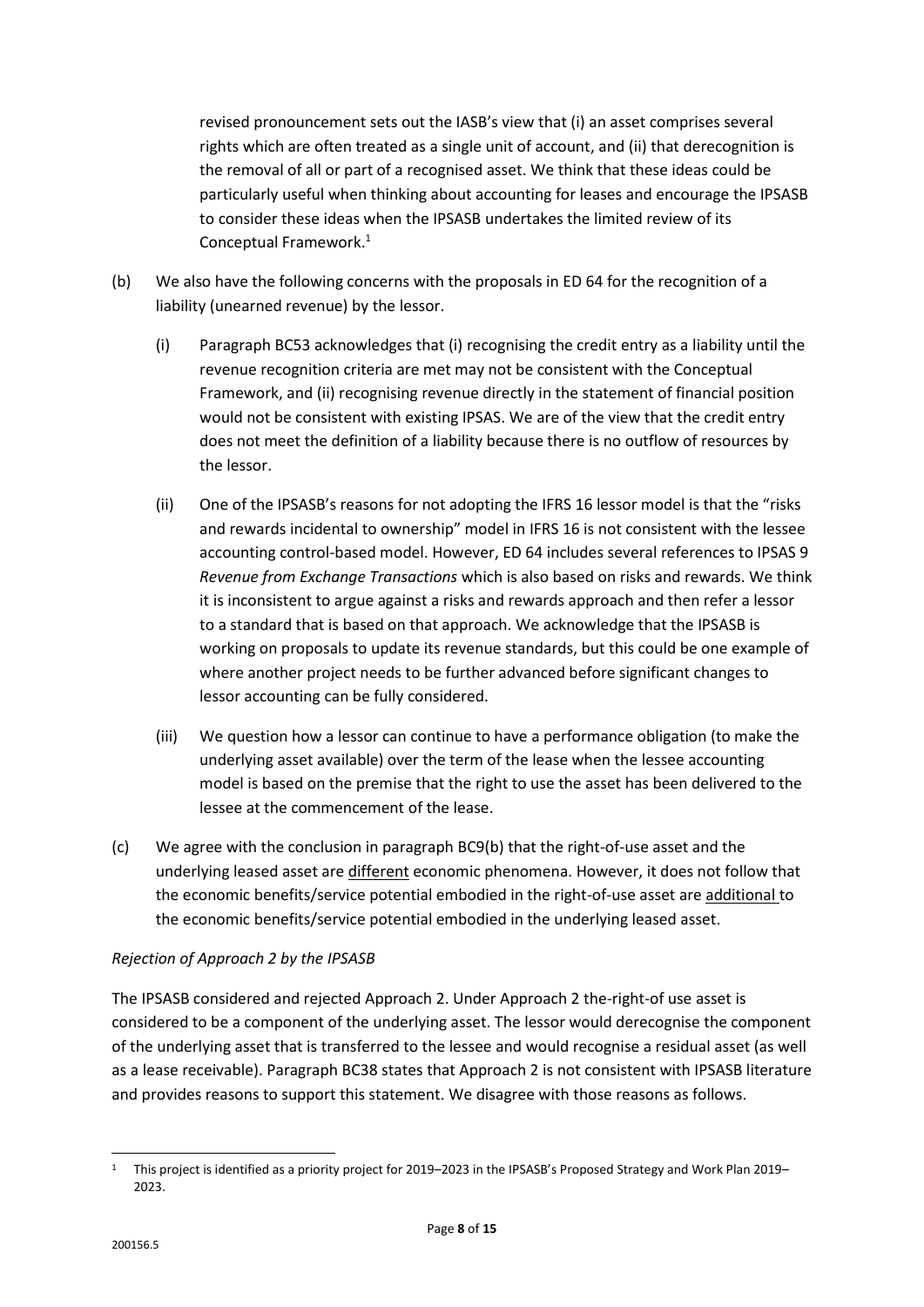revised pronouncement sets out the IASB's view that (i) an asset comprises several rights which are often treated as a single unit of account, and (ii) that derecognition is the removal of all or part of a recognised asset. We think that these ideas could be particularly useful when thinking about accounting for leases and encourage the IPSASB to consider these ideas when the IPSASB undertakes the limited review of its Conceptual Framework. 1

- (b) We also have the following concerns with the proposals in ED 64 for the recognition of a liability (unearned revenue) by the lessor.
	- (i) Paragraph BC53 acknowledges that (i) recognising the credit entry as a liability until the revenue recognition criteria are met may not be consistent with the Conceptual Framework, and (ii) recognising revenue directly in the statement of financial position would not be consistent with existing IPSAS. We are of the view that the credit entry does not meet the definition of a liability because there is no outflow of resources by the lessor.
	- (ii) One of the IPSASB's reasons for not adopting the IFRS 16 lessor model is that the "risks and rewards incidental to ownership" model in IFRS 16 is not consistent with the lessee accounting control-based model. However, ED 64 includes several references to IPSAS 9 *Revenue from Exchange Transactions* which is also based on risks and rewards. We think it is inconsistent to argue against a risks and rewards approach and then refer a lessor to a standard that is based on that approach. We acknowledge that the IPSASB is working on proposals to update its revenue standards, but this could be one example of where another project needs to be further advanced before significant changes to lessor accounting can be fully considered.
	- (iii) We question how a lessor can continue to have a performance obligation (to make the underlying asset available) over the term of the lease when the lessee accounting model is based on the premise that the right to use the asset has been delivered to the lessee at the commencement of the lease.
- (c) We agree with the conclusion in paragraph BC9(b) that the right-of-use asset and the underlying leased asset are different economic phenomena. However, it does not follow that the economic benefits/service potential embodied in the right-of-use asset are additional to the economic benefits/service potential embodied in the underlying leased asset.

# *Rejection of Approach 2 by the IPSASB*

The IPSASB considered and rejected Approach 2. Under Approach 2 the-right-of use asset is considered to be a component of the underlying asset. The lessor would derecognise the component of the underlying asset that is transferred to the lessee and would recognise a residual asset (as well as a lease receivable). Paragraph BC38 states that Approach 2 is not consistent with IPSASB literature and provides reasons to support this statement. We disagree with those reasons as follows.

**<sup>.</sup>** <sup>1</sup> This project is identified as a priority project for 2019–2023 in the IPSASB's Proposed Strategy and Work Plan 2019– 2023.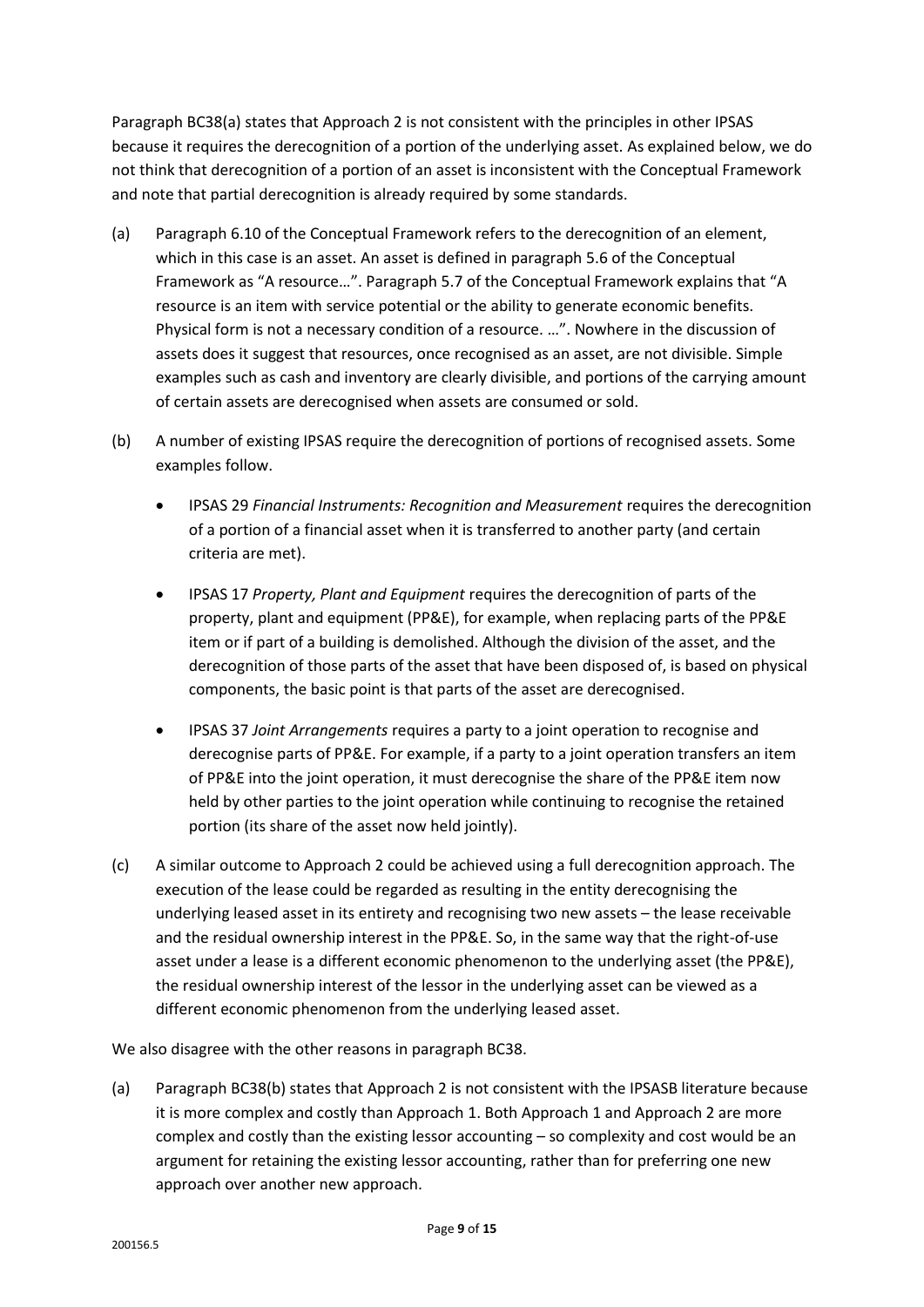Paragraph BC38(a) states that Approach 2 is not consistent with the principles in other IPSAS because it requires the derecognition of a portion of the underlying asset. As explained below, we do not think that derecognition of a portion of an asset is inconsistent with the Conceptual Framework and note that partial derecognition is already required by some standards.

- (a) Paragraph 6.10 of the Conceptual Framework refers to the derecognition of an element, which in this case is an asset. An asset is defined in paragraph 5.6 of the Conceptual Framework as "A resource…". Paragraph 5.7 of the Conceptual Framework explains that "A resource is an item with service potential or the ability to generate economic benefits. Physical form is not a necessary condition of a resource. …". Nowhere in the discussion of assets does it suggest that resources, once recognised as an asset, are not divisible. Simple examples such as cash and inventory are clearly divisible, and portions of the carrying amount of certain assets are derecognised when assets are consumed or sold.
- (b) A number of existing IPSAS require the derecognition of portions of recognised assets. Some examples follow.
	- IPSAS 29 *Financial Instruments: Recognition and Measurement* requires the derecognition of a portion of a financial asset when it is transferred to another party (and certain criteria are met).
	- IPSAS 17 *Property, Plant and Equipment* requires the derecognition of parts of the property, plant and equipment (PP&E), for example, when replacing parts of the PP&E item or if part of a building is demolished. Although the division of the asset, and the derecognition of those parts of the asset that have been disposed of, is based on physical components, the basic point is that parts of the asset are derecognised.
	- IPSAS 37 *Joint Arrangements* requires a party to a joint operation to recognise and derecognise parts of PP&E. For example, if a party to a joint operation transfers an item of PP&E into the joint operation, it must derecognise the share of the PP&E item now held by other parties to the joint operation while continuing to recognise the retained portion (its share of the asset now held jointly).
- (c) A similar outcome to Approach 2 could be achieved using a full derecognition approach. The execution of the lease could be regarded as resulting in the entity derecognising the underlying leased asset in its entirety and recognising two new assets – the lease receivable and the residual ownership interest in the PP&E. So, in the same way that the right-of-use asset under a lease is a different economic phenomenon to the underlying asset (the PP&E), the residual ownership interest of the lessor in the underlying asset can be viewed as a different economic phenomenon from the underlying leased asset.

We also disagree with the other reasons in paragraph BC38.

(a) Paragraph BC38(b) states that Approach 2 is not consistent with the IPSASB literature because it is more complex and costly than Approach 1. Both Approach 1 and Approach 2 are more complex and costly than the existing lessor accounting – so complexity and cost would be an argument for retaining the existing lessor accounting, rather than for preferring one new approach over another new approach.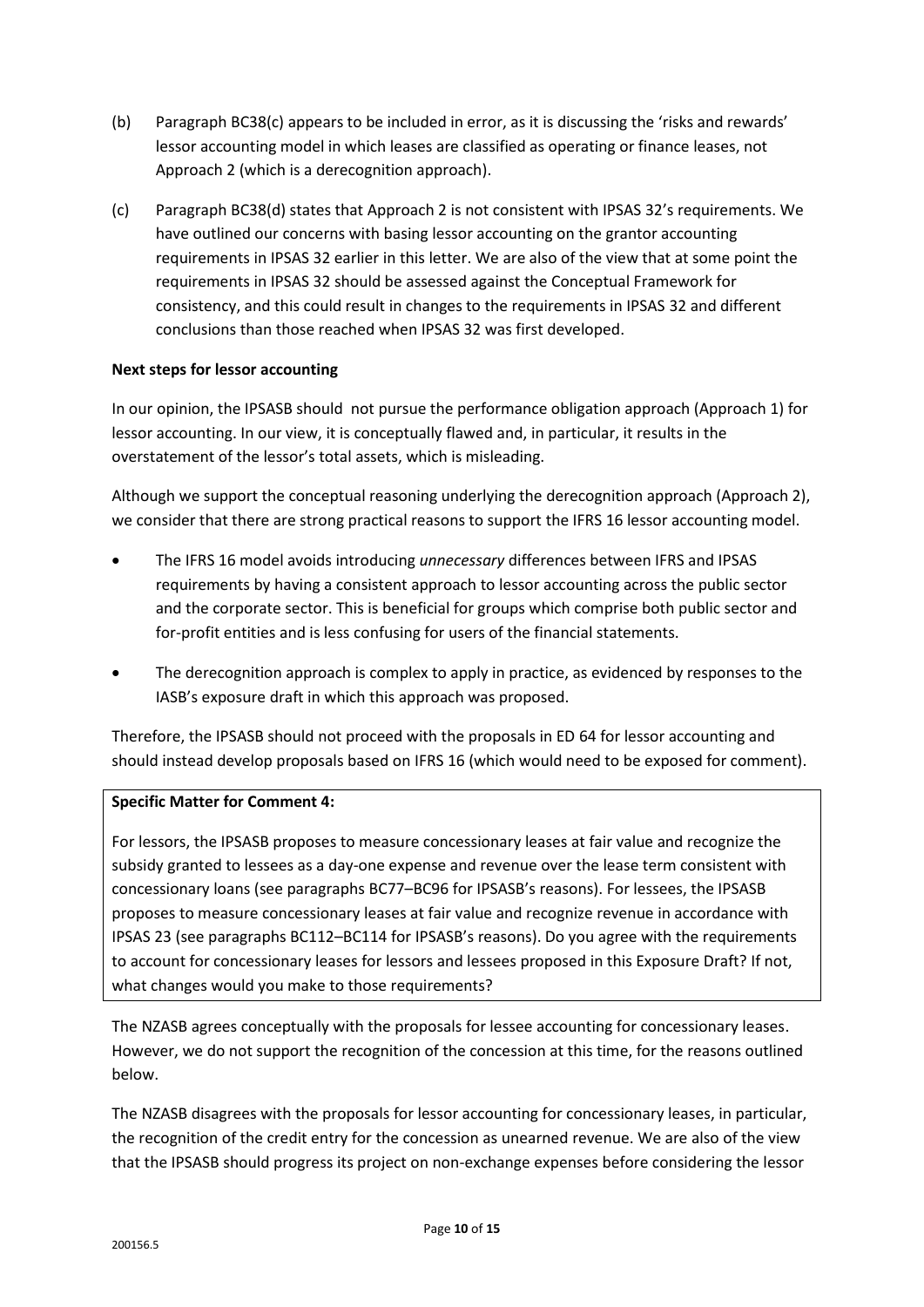- (b) Paragraph BC38(c) appears to be included in error, as it is discussing the 'risks and rewards' lessor accounting model in which leases are classified as operating or finance leases, not Approach 2 (which is a derecognition approach).
- (c) Paragraph BC38(d) states that Approach 2 is not consistent with IPSAS 32's requirements. We have outlined our concerns with basing lessor accounting on the grantor accounting requirements in IPSAS 32 earlier in this letter. We are also of the view that at some point the requirements in IPSAS 32 should be assessed against the Conceptual Framework for consistency, and this could result in changes to the requirements in IPSAS 32 and different conclusions than those reached when IPSAS 32 was first developed.

### **Next steps for lessor accounting**

In our opinion, the IPSASB should not pursue the performance obligation approach (Approach 1) for lessor accounting. In our view, it is conceptually flawed and, in particular, it results in the overstatement of the lessor's total assets, which is misleading.

Although we support the conceptual reasoning underlying the derecognition approach (Approach 2), we consider that there are strong practical reasons to support the IFRS 16 lessor accounting model.

- The IFRS 16 model avoids introducing *unnecessary* differences between IFRS and IPSAS requirements by having a consistent approach to lessor accounting across the public sector and the corporate sector. This is beneficial for groups which comprise both public sector and for-profit entities and is less confusing for users of the financial statements.
- The derecognition approach is complex to apply in practice, as evidenced by responses to the IASB's exposure draft in which this approach was proposed.

Therefore, the IPSASB should not proceed with the proposals in ED 64 for lessor accounting and should instead develop proposals based on IFRS 16 (which would need to be exposed for comment).

### **Specific Matter for Comment 4:**

For lessors, the IPSASB proposes to measure concessionary leases at fair value and recognize the subsidy granted to lessees as a day-one expense and revenue over the lease term consistent with concessionary loans (see paragraphs BC77–BC96 for IPSASB's reasons). For lessees, the IPSASB proposes to measure concessionary leases at fair value and recognize revenue in accordance with IPSAS 23 (see paragraphs BC112–BC114 for IPSASB's reasons). Do you agree with the requirements to account for concessionary leases for lessors and lessees proposed in this Exposure Draft? If not, what changes would you make to those requirements?

The NZASB agrees conceptually with the proposals for lessee accounting for concessionary leases. However, we do not support the recognition of the concession at this time, for the reasons outlined below.

The NZASB disagrees with the proposals for lessor accounting for concessionary leases, in particular, the recognition of the credit entry for the concession as unearned revenue. We are also of the view that the IPSASB should progress its project on non-exchange expenses before considering the lessor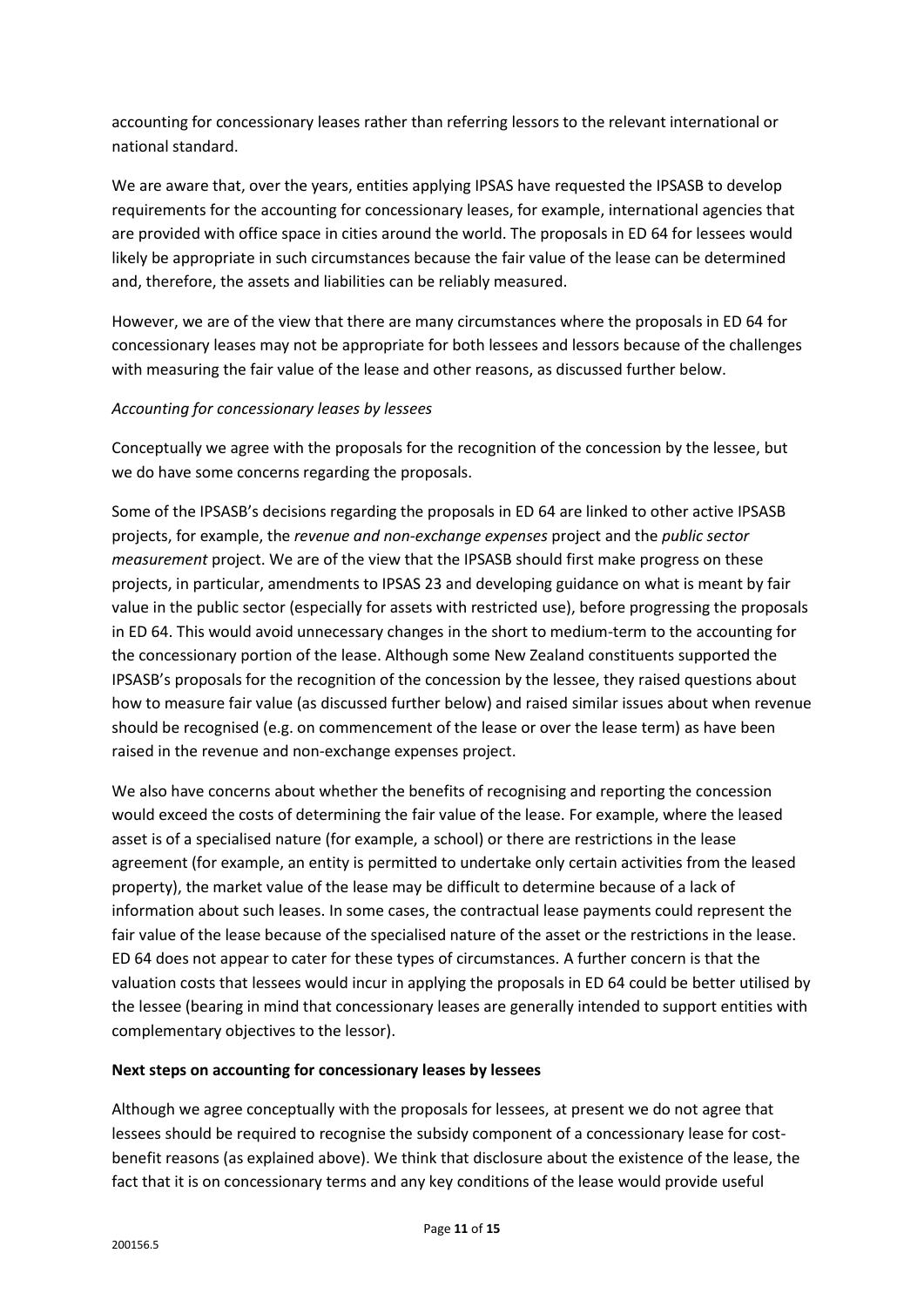accounting for concessionary leases rather than referring lessors to the relevant international or national standard.

We are aware that, over the years, entities applying IPSAS have requested the IPSASB to develop requirements for the accounting for concessionary leases, for example, international agencies that are provided with office space in cities around the world. The proposals in ED 64 for lessees would likely be appropriate in such circumstances because the fair value of the lease can be determined and, therefore, the assets and liabilities can be reliably measured.

However, we are of the view that there are many circumstances where the proposals in ED 64 for concessionary leases may not be appropriate for both lessees and lessors because of the challenges with measuring the fair value of the lease and other reasons, as discussed further below.

# *Accounting for concessionary leases by lessees*

Conceptually we agree with the proposals for the recognition of the concession by the lessee, but we do have some concerns regarding the proposals.

Some of the IPSASB's decisions regarding the proposals in ED 64 are linked to other active IPSASB projects, for example, the *revenue and non-exchange expenses* project and the *public sector measurement* project. We are of the view that the IPSASB should first make progress on these projects, in particular, amendments to IPSAS 23 and developing guidance on what is meant by fair value in the public sector (especially for assets with restricted use), before progressing the proposals in ED 64. This would avoid unnecessary changes in the short to medium-term to the accounting for the concessionary portion of the lease. Although some New Zealand constituents supported the IPSASB's proposals for the recognition of the concession by the lessee, they raised questions about how to measure fair value (as discussed further below) and raised similar issues about when revenue should be recognised (e.g. on commencement of the lease or over the lease term) as have been raised in the revenue and non-exchange expenses project.

We also have concerns about whether the benefits of recognising and reporting the concession would exceed the costs of determining the fair value of the lease. For example, where the leased asset is of a specialised nature (for example, a school) or there are restrictions in the lease agreement (for example, an entity is permitted to undertake only certain activities from the leased property), the market value of the lease may be difficult to determine because of a lack of information about such leases. In some cases, the contractual lease payments could represent the fair value of the lease because of the specialised nature of the asset or the restrictions in the lease. ED 64 does not appear to cater for these types of circumstances. A further concern is that the valuation costs that lessees would incur in applying the proposals in ED 64 could be better utilised by the lessee (bearing in mind that concessionary leases are generally intended to support entities with complementary objectives to the lessor).

# **Next steps on accounting for concessionary leases by lessees**

Although we agree conceptually with the proposals for lessees, at present we do not agree that lessees should be required to recognise the subsidy component of a concessionary lease for costbenefit reasons (as explained above). We think that disclosure about the existence of the lease, the fact that it is on concessionary terms and any key conditions of the lease would provide useful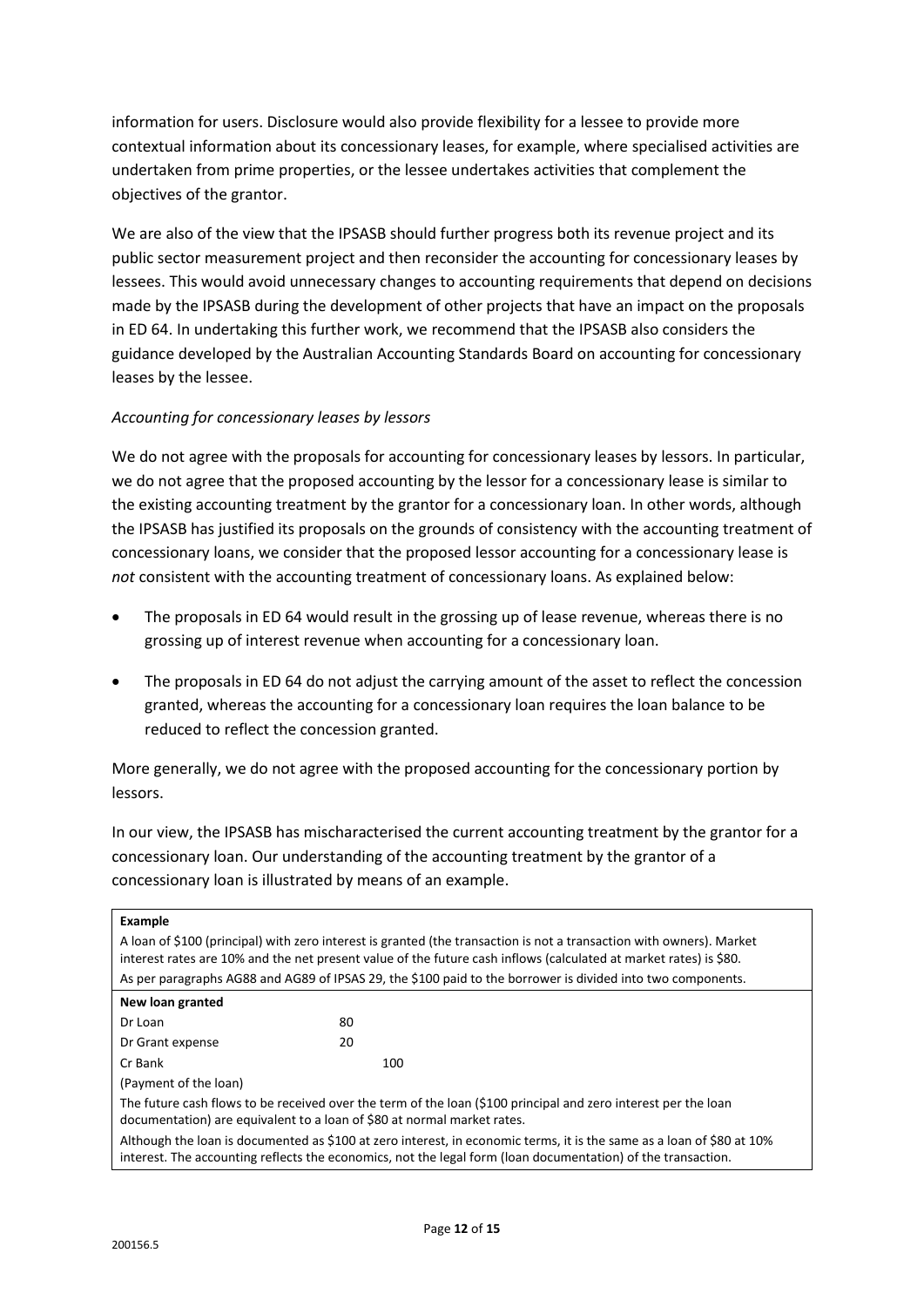information for users. Disclosure would also provide flexibility for a lessee to provide more contextual information about its concessionary leases, for example, where specialised activities are undertaken from prime properties, or the lessee undertakes activities that complement the objectives of the grantor.

We are also of the view that the IPSASB should further progress both its revenue project and its public sector measurement project and then reconsider the accounting for concessionary leases by lessees. This would avoid unnecessary changes to accounting requirements that depend on decisions made by the IPSASB during the development of other projects that have an impact on the proposals in ED 64. In undertaking this further work, we recommend that the IPSASB also considers the guidance developed by the Australian Accounting Standards Board on accounting for concessionary leases by the lessee.

# *Accounting for concessionary leases by lessors*

We do not agree with the proposals for accounting for concessionary leases by lessors. In particular, we do not agree that the proposed accounting by the lessor for a concessionary lease is similar to the existing accounting treatment by the grantor for a concessionary loan. In other words, although the IPSASB has justified its proposals on the grounds of consistency with the accounting treatment of concessionary loans, we consider that the proposed lessor accounting for a concessionary lease is *not* consistent with the accounting treatment of concessionary loans. As explained below:

- The proposals in ED 64 would result in the grossing up of lease revenue, whereas there is no grossing up of interest revenue when accounting for a concessionary loan.
- The proposals in ED 64 do not adjust the carrying amount of the asset to reflect the concession granted, whereas the accounting for a concessionary loan requires the loan balance to be reduced to reflect the concession granted.

More generally, we do not agree with the proposed accounting for the concessionary portion by lessors.

In our view, the IPSASB has mischaracterised the current accounting treatment by the grantor for a concessionary loan. Our understanding of the accounting treatment by the grantor of a concessionary loan is illustrated by means of an example.

| Example                                                                                                                                                                                                                                   |     |  |
|-------------------------------------------------------------------------------------------------------------------------------------------------------------------------------------------------------------------------------------------|-----|--|
| A loan of \$100 (principal) with zero interest is granted (the transaction is not a transaction with owners). Market<br>interest rates are 10% and the net present value of the future cash inflows (calculated at market rates) is \$80. |     |  |
| As per paragraphs AG88 and AG89 of IPSAS 29, the \$100 paid to the borrower is divided into two components.                                                                                                                               |     |  |
| New loan granted                                                                                                                                                                                                                          |     |  |
| Dr Loan                                                                                                                                                                                                                                   | 80  |  |
| Dr Grant expense                                                                                                                                                                                                                          | 20  |  |
| Cr Bank                                                                                                                                                                                                                                   | 100 |  |
| (Payment of the loan)                                                                                                                                                                                                                     |     |  |
| The future cash flows to be received over the term of the loan (\$100 principal and zero interest per the loan<br>documentation) are equivalent to a loan of \$80 at normal market rates.                                                 |     |  |
| Although the loan is documented as \$100 at zero interest, in economic terms, it is the same as a loan of \$80 at 10%<br>interest. The accounting reflects the economics, not the legal form (loan documentation) of the transaction.     |     |  |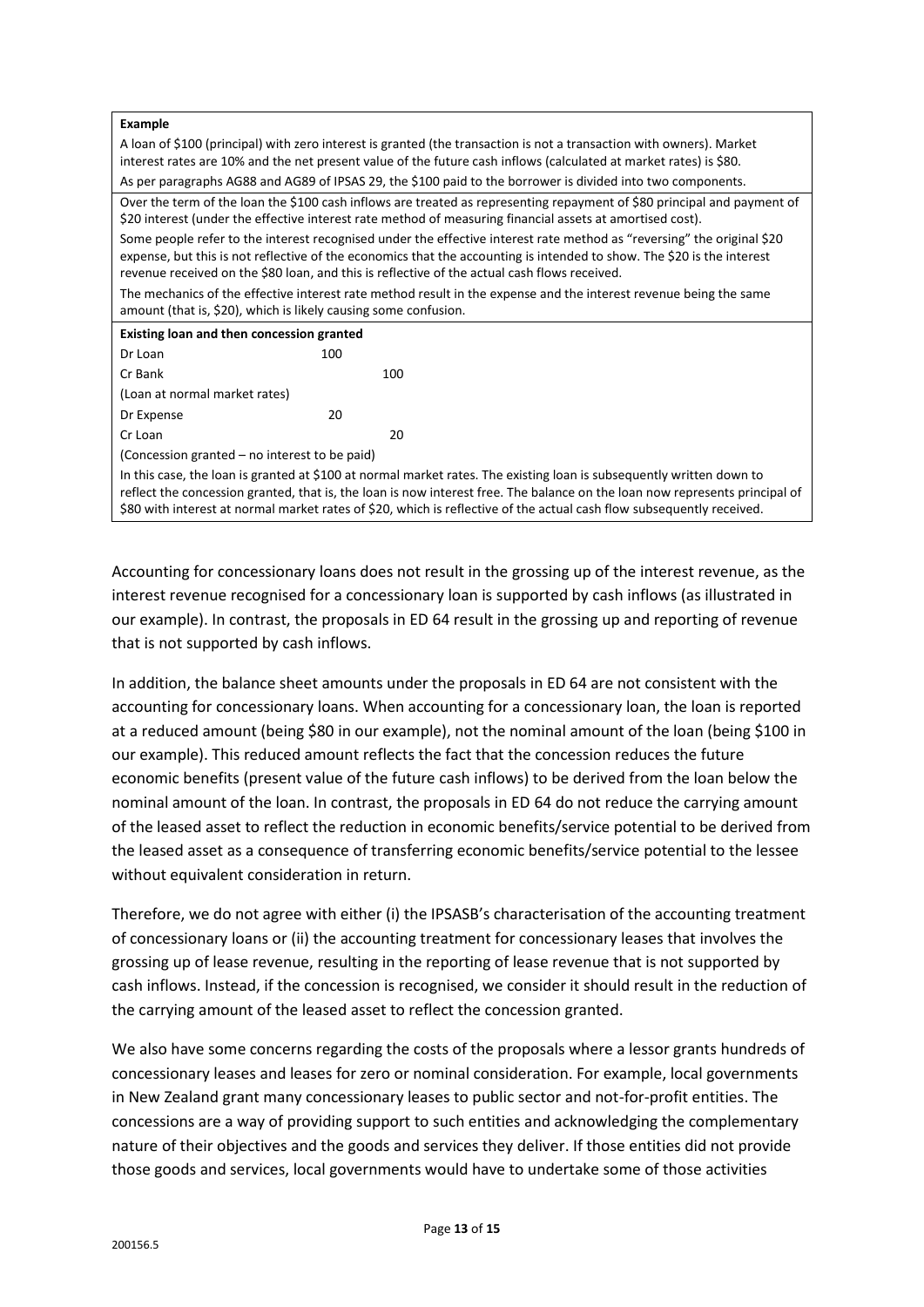| <b>Example</b>                                                                                                                                                                                                                                                                                                                                                               |     |  |
|------------------------------------------------------------------------------------------------------------------------------------------------------------------------------------------------------------------------------------------------------------------------------------------------------------------------------------------------------------------------------|-----|--|
| A loan of \$100 (principal) with zero interest is granted (the transaction is not a transaction with owners). Market<br>interest rates are 10% and the net present value of the future cash inflows (calculated at market rates) is \$80.                                                                                                                                    |     |  |
| As per paragraphs AG88 and AG89 of IPSAS 29, the \$100 paid to the borrower is divided into two components.                                                                                                                                                                                                                                                                  |     |  |
| Over the term of the loan the \$100 cash inflows are treated as representing repayment of \$80 principal and payment of<br>\$20 interest (under the effective interest rate method of measuring financial assets at amortised cost).                                                                                                                                         |     |  |
| Some people refer to the interest recognised under the effective interest rate method as "reversing" the original \$20<br>expense, but this is not reflective of the economics that the accounting is intended to show. The \$20 is the interest<br>revenue received on the \$80 loan, and this is reflective of the actual cash flows received.                             |     |  |
| The mechanics of the effective interest rate method result in the expense and the interest revenue being the same<br>amount (that is, \$20), which is likely causing some confusion.                                                                                                                                                                                         |     |  |
| Existing loan and then concession granted                                                                                                                                                                                                                                                                                                                                    |     |  |
| Dr Loan                                                                                                                                                                                                                                                                                                                                                                      | 100 |  |
| Cr Bank                                                                                                                                                                                                                                                                                                                                                                      | 100 |  |
| (Loan at normal market rates)                                                                                                                                                                                                                                                                                                                                                |     |  |
| Dr Expense                                                                                                                                                                                                                                                                                                                                                                   | 20  |  |
| Cr Loan                                                                                                                                                                                                                                                                                                                                                                      | 20  |  |
| (Concession granted – no interest to be paid)                                                                                                                                                                                                                                                                                                                                |     |  |
| In this case, the loan is granted at \$100 at normal market rates. The existing loan is subsequently written down to<br>reflect the concession granted, that is, the loan is now interest free. The balance on the loan now represents principal of<br>\$80 with interest at normal market rates of \$20, which is reflective of the actual cash flow subsequently received. |     |  |

Accounting for concessionary loans does not result in the grossing up of the interest revenue, as the interest revenue recognised for a concessionary loan is supported by cash inflows (as illustrated in our example). In contrast, the proposals in ED 64 result in the grossing up and reporting of revenue that is not supported by cash inflows.

In addition, the balance sheet amounts under the proposals in ED 64 are not consistent with the accounting for concessionary loans. When accounting for a concessionary loan, the loan is reported at a reduced amount (being \$80 in our example), not the nominal amount of the loan (being \$100 in our example). This reduced amount reflects the fact that the concession reduces the future economic benefits (present value of the future cash inflows) to be derived from the loan below the nominal amount of the loan. In contrast, the proposals in ED 64 do not reduce the carrying amount of the leased asset to reflect the reduction in economic benefits/service potential to be derived from the leased asset as a consequence of transferring economic benefits/service potential to the lessee without equivalent consideration in return.

Therefore, we do not agree with either (i) the IPSASB's characterisation of the accounting treatment of concessionary loans or (ii) the accounting treatment for concessionary leases that involves the grossing up of lease revenue, resulting in the reporting of lease revenue that is not supported by cash inflows. Instead, if the concession is recognised, we consider it should result in the reduction of the carrying amount of the leased asset to reflect the concession granted.

We also have some concerns regarding the costs of the proposals where a lessor grants hundreds of concessionary leases and leases for zero or nominal consideration. For example, local governments in New Zealand grant many concessionary leases to public sector and not-for-profit entities. The concessions are a way of providing support to such entities and acknowledging the complementary nature of their objectives and the goods and services they deliver. If those entities did not provide those goods and services, local governments would have to undertake some of those activities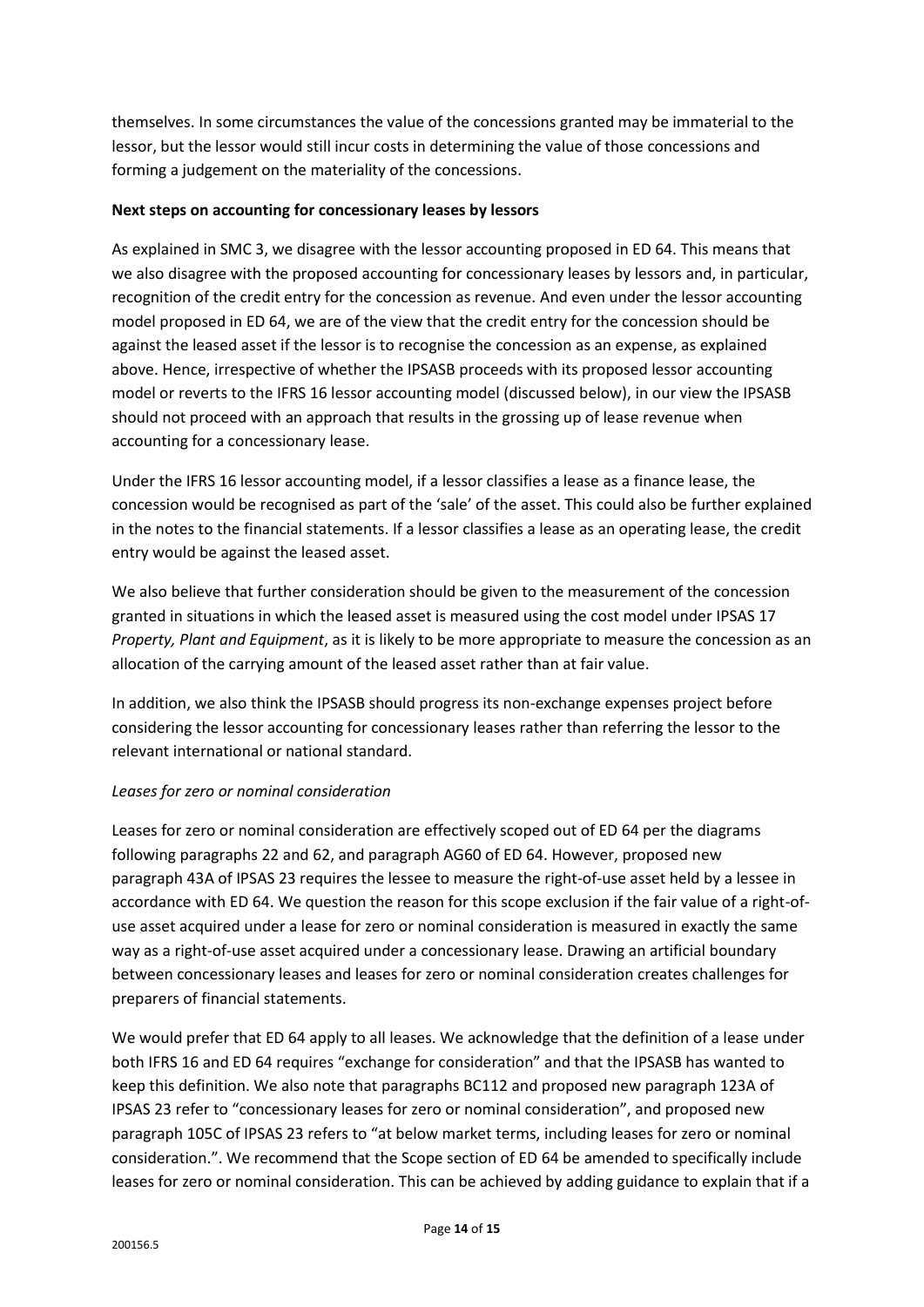themselves. In some circumstances the value of the concessions granted may be immaterial to the lessor, but the lessor would still incur costs in determining the value of those concessions and forming a judgement on the materiality of the concessions.

## **Next steps on accounting for concessionary leases by lessors**

As explained in SMC 3, we disagree with the lessor accounting proposed in ED 64. This means that we also disagree with the proposed accounting for concessionary leases by lessors and, in particular, recognition of the credit entry for the concession as revenue. And even under the lessor accounting model proposed in ED 64, we are of the view that the credit entry for the concession should be against the leased asset if the lessor is to recognise the concession as an expense, as explained above. Hence, irrespective of whether the IPSASB proceeds with its proposed lessor accounting model or reverts to the IFRS 16 lessor accounting model (discussed below), in our view the IPSASB should not proceed with an approach that results in the grossing up of lease revenue when accounting for a concessionary lease.

Under the IFRS 16 lessor accounting model, if a lessor classifies a lease as a finance lease, the concession would be recognised as part of the 'sale' of the asset. This could also be further explained in the notes to the financial statements. If a lessor classifies a lease as an operating lease, the credit entry would be against the leased asset.

We also believe that further consideration should be given to the measurement of the concession granted in situations in which the leased asset is measured using the cost model under IPSAS 17 *Property, Plant and Equipment*, as it is likely to be more appropriate to measure the concession as an allocation of the carrying amount of the leased asset rather than at fair value.

In addition, we also think the IPSASB should progress its non-exchange expenses project before considering the lessor accounting for concessionary leases rather than referring the lessor to the relevant international or national standard.

# *Leases for zero or nominal consideration*

Leases for zero or nominal consideration are effectively scoped out of ED 64 per the diagrams following paragraphs 22 and 62, and paragraph AG60 of ED 64. However, proposed new paragraph 43A of IPSAS 23 requires the lessee to measure the right-of-use asset held by a lessee in accordance with ED 64. We question the reason for this scope exclusion if the fair value of a right-ofuse asset acquired under a lease for zero or nominal consideration is measured in exactly the same way as a right-of-use asset acquired under a concessionary lease. Drawing an artificial boundary between concessionary leases and leases for zero or nominal consideration creates challenges for preparers of financial statements.

We would prefer that ED 64 apply to all leases. We acknowledge that the definition of a lease under both IFRS 16 and ED 64 requires "exchange for consideration" and that the IPSASB has wanted to keep this definition. We also note that paragraphs BC112 and proposed new paragraph 123A of IPSAS 23 refer to "concessionary leases for zero or nominal consideration", and proposed new paragraph 105C of IPSAS 23 refers to "at below market terms, including leases for zero or nominal consideration.". We recommend that the Scope section of ED 64 be amended to specifically include leases for zero or nominal consideration. This can be achieved by adding guidance to explain that if a